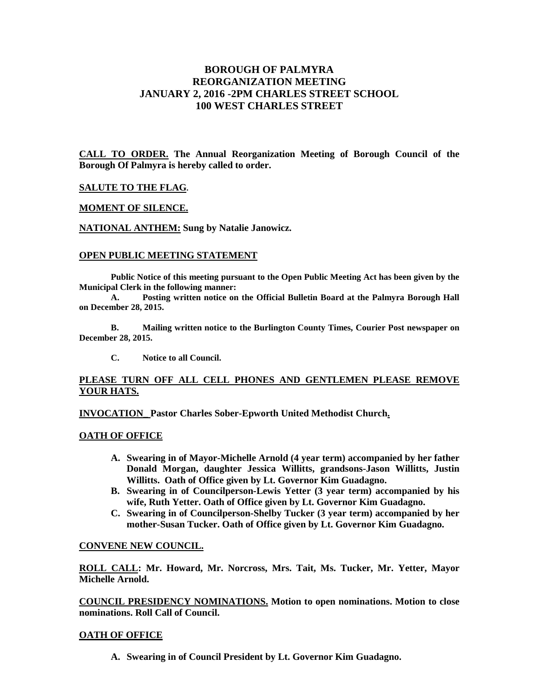# **BOROUGH OF PALMYRA REORGANIZATION MEETING JANUARY 2, 2016 -2PM CHARLES STREET SCHOOL 100 WEST CHARLES STREET**

**CALL TO ORDER. The Annual Reorganization Meeting of Borough Council of the Borough Of Palmyra is hereby called to order.** 

#### **SALUTE TO THE FLAG.**

### **MOMENT OF SILENCE.**

**NATIONAL ANTHEM: Sung by Natalie Janowicz.** 

#### **OPEN PUBLIC MEETING STATEMENT**

**Public Notice of this meeting pursuant to the Open Public Meeting Act has been given by the Municipal Clerk in the following manner:** 

 **A. Posting written notice on the Official Bulletin Board at the Palmyra Borough Hall on December 28, 2015.** 

 **B. Mailing written notice to the Burlington County Times, Courier Post newspaper on December 28, 2015.** 

 **C. Notice to all Council.** 

## **PLEASE TURN OFF ALL CELL PHONES AND GENTLEMEN PLEASE REMOVE YOUR HATS.**

**INVOCATION\_ Pastor Charles Sober-Epworth United Methodist Church.** 

## **OATH OF OFFICE**

- **A. Swearing in of Mayor-Michelle Arnold (4 year term) accompanied by her father Donald Morgan, daughter Jessica Willitts, grandsons-Jason Willitts, Justin Willitts. Oath of Office given by Lt. Governor Kim Guadagno.**
- **B. Swearing in of Councilperson-Lewis Yetter (3 year term) accompanied by his wife, Ruth Yetter. Oath of Office given by Lt. Governor Kim Guadagno.**
- **C. Swearing in of Councilperson-Shelby Tucker (3 year term) accompanied by her mother-Susan Tucker. Oath of Office given by Lt. Governor Kim Guadagno.**

#### **CONVENE NEW COUNCIL.**

**ROLL CALL: Mr. Howard, Mr. Norcross, Mrs. Tait, Ms. Tucker, Mr. Yetter, Mayor Michelle Arnold.** 

**COUNCIL PRESIDENCY NOMINATIONS. Motion to open nominations. Motion to close nominations. Roll Call of Council.** 

#### **OATH OF OFFICE**

**A. Swearing in of Council President by Lt. Governor Kim Guadagno.**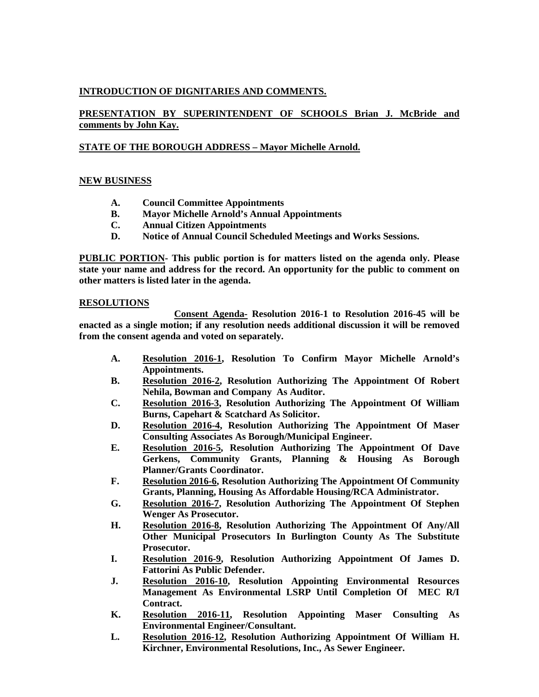# **INTRODUCTION OF DIGNITARIES AND COMMENTS.**

# **PRESENTATION BY SUPERINTENDENT OF SCHOOLS Brian J. McBride and comments by John Kay.**

## **STATE OF THE BOROUGH ADDRESS – Mayor Michelle Arnold.**

## **NEW BUSINESS**

- **A. Council Committee Appointments**
- **B. Mayor Michelle Arnold's Annual Appointments**
- **C. Annual Citizen Appointments**
- **D. Notice of Annual Council Scheduled Meetings and Works Sessions.**

**PUBLIC PORTION- This public portion is for matters listed on the agenda only. Please state your name and address for the record. An opportunity for the public to comment on other matters is listed later in the agenda.** 

## **RESOLUTIONS**

 **Consent Agenda- Resolution 2016-1 to Resolution 2016-45 will be enacted as a single motion; if any resolution needs additional discussion it will be removed from the consent agenda and voted on separately.** 

- **A. Resolution 2016-1, Resolution To Confirm Mayor Michelle Arnold's Appointments.**
- **B. Resolution 2016-2, Resolution Authorizing The Appointment Of Robert Nehila, Bowman and Company As Auditor.**
- **C. Resolution 2016-3, Resolution Authorizing The Appointment Of William Burns, Capehart & Scatchard As Solicitor.**
- **D. Resolution 2016-4, Resolution Authorizing The Appointment Of Maser Consulting Associates As Borough/Municipal Engineer.**
- **E. Resolution 2016-5, Resolution Authorizing The Appointment Of Dave Gerkens, Community Grants, Planning & Housing As Borough Planner/Grants Coordinator.**
- **F. Resolution 2016-6, Resolution Authorizing The Appointment Of Community Grants, Planning, Housing As Affordable Housing/RCA Administrator.**
- **G. Resolution 2016-7, Resolution Authorizing The Appointment Of Stephen Wenger As Prosecutor.**
- **H. Resolution 2016-8, Resolution Authorizing The Appointment Of Any/All Other Municipal Prosecutors In Burlington County As The Substitute Prosecutor.**
- **I. Resolution 2016-9, Resolution Authorizing Appointment Of James D. Fattorini As Public Defender.**
- **J. Resolution 2016-10, Resolution Appointing Environmental Resources Management As Environmental LSRP Until Completion Of MEC R/I Contract.**
- **K. Resolution 2016-11, Resolution Appointing Maser Consulting As Environmental Engineer/Consultant.**
- **L. Resolution 2016-12, Resolution Authorizing Appointment Of William H. Kirchner, Environmental Resolutions, Inc., As Sewer Engineer.**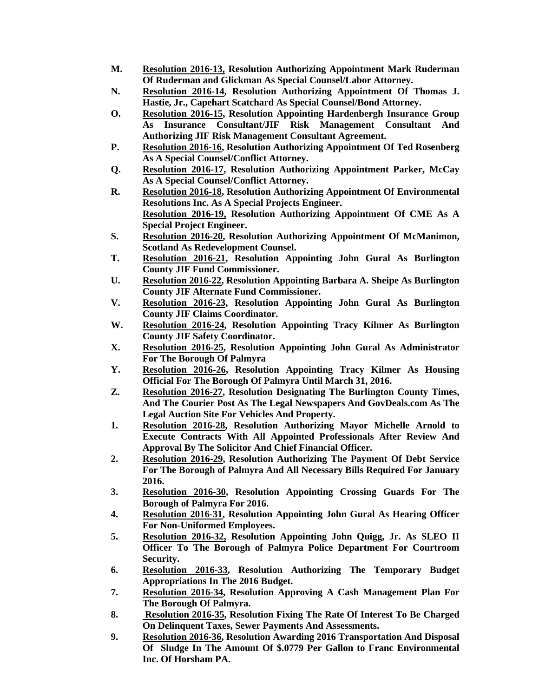- **M. Resolution 2016-13, Resolution Authorizing Appointment Mark Ruderman Of Ruderman and Glickman As Special Counsel/Labor Attorney.**
- **N. Resolution 2016-14, Resolution Authorizing Appointment Of Thomas J. Hastie, Jr., Capehart Scatchard As Special Counsel/Bond Attorney.**
- **O. Resolution 2016-15, Resolution Appointing Hardenbergh Insurance Group As Insurance Consultant/JIF Risk Management Consultant And Authorizing JIF Risk Management Consultant Agreement.**
- **P. Resolution 2016-16, Resolution Authorizing Appointment Of Ted Rosenberg As A Special Counsel/Conflict Attorney.**
- **Q. Resolution 2016-17, Resolution Authorizing Appointment Parker, McCay As A Special Counsel/Conflict Attorney.**
- **R. Resolution 2016-18, Resolution Authorizing Appointment Of Environmental Resolutions Inc. As A Special Projects Engineer. Resolution 2016-19, Resolution Authorizing Appointment Of CME As A Special Project Engineer.**
- **S. Resolution 2016-20, Resolution Authorizing Appointment Of McManimon, Scotland As Redevelopment Counsel.**
- **T. Resolution 2016-21, Resolution Appointing John Gural As Burlington County JIF Fund Commissioner.**
- **U. Resolution 2016-22, Resolution Appointing Barbara A. Sheipe As Burlington County JIF Alternate Fund Commissioner.**
- **V. Resolution 2016-23, Resolution Appointing John Gural As Burlington County JIF Claims Coordinator.**
- **W. Resolution 2016-24, Resolution Appointing Tracy Kilmer As Burlington County JIF Safety Coordinator.**
- **X. Resolution 2016-25, Resolution Appointing John Gural As Administrator For The Borough Of Palmyra**
- **Y. Resolution 2016-26, Resolution Appointing Tracy Kilmer As Housing Official For The Borough Of Palmyra Until March 31, 2016.**
- **Z. Resolution 2016-27, Resolution Designating The Burlington County Times, And The Courier Post As The Legal Newspapers And GovDeals.com As The Legal Auction Site For Vehicles And Property.**
- **1. Resolution 2016-28, Resolution Authorizing Mayor Michelle Arnold to Execute Contracts With All Appointed Professionals After Review And Approval By The Solicitor And Chief Financial Officer.**
- **2. Resolution 2016-29, Resolution Authorizing The Payment Of Debt Service For The Borough of Palmyra And All Necessary Bills Required For January 2016.**
- **3. Resolution 2016-30, Resolution Appointing Crossing Guards For The Borough of Palmyra For 2016.**
- **4. Resolution 2016-31, Resolution Appointing John Gural As Hearing Officer For Non-Uniformed Employees.**
- **5. Resolution 2016-32, Resolution Appointing John Quigg, Jr. As SLEO II Officer To The Borough of Palmyra Police Department For Courtroom Security.**
- **6. Resolution 2016-33, Resolution Authorizing The Temporary Budget Appropriations In The 2016 Budget.**
- **7. Resolution 2016-34, Resolution Approving A Cash Management Plan For The Borough Of Palmyra.**
- **8. Resolution 2016-35, Resolution Fixing The Rate Of Interest To Be Charged On Delinquent Taxes, Sewer Payments And Assessments.**
- **9. Resolution 2016-36, Resolution Awarding 2016 Transportation And Disposal Of Sludge In The Amount Of \$.0779 Per Gallon to Franc Environmental Inc. Of Horsham PA.**